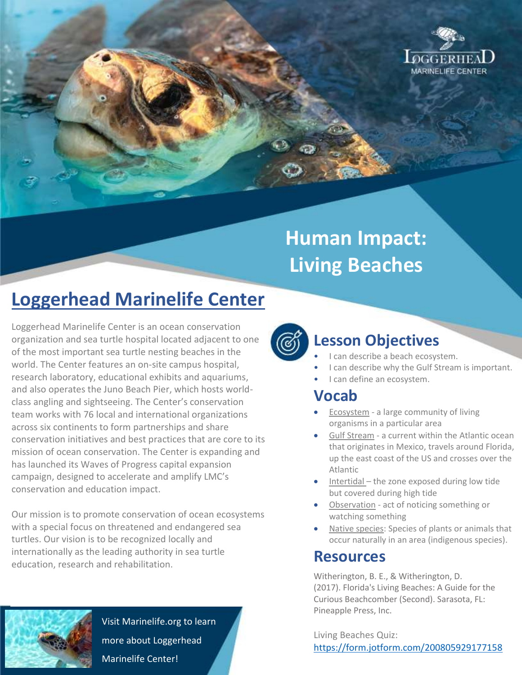

# **Human Impact: Living Beaches**

## **Loggerhead Marinelife Center**

Loggerhead Marinelife Center is an ocean conservation organization and sea turtle hospital located adjacent to one of the most important sea turtle nesting beaches in the world. The Center features an on-site campus hospital, research laboratory, educational exhibits and aquariums, and also operates the Juno Beach Pier, which hosts worldclass angling and sightseeing. The Center's conservation team works with 76 local and international organizations across six continents to form partnerships and share conservation initiatives and best practices that are core to its mission of ocean conservation. The Center is expanding and has launched its Waves of Progress capital expansion campaign, designed to accelerate and amplify LMC's conservation and education impact.

Our mission is to promote conservation of ocean ecosystems with a special focus on threatened and endangered sea turtles. Our vision is to be recognized locally and internationally as the leading authority in sea turtle education, research and rehabilitation.



Visit Marinelife.org to learn more about Loggerhead Marinelife Center!



### **Lesson Objectives**

- I can describe a beach ecosystem.
- I can describe why the Gulf Stream is important.
- I can define an ecosystem.

#### **Vocab**

- Ecosystem a large community of living organisms in a particular area
- Gulf Stream a current within the Atlantic ocean that originates in Mexico, travels around Florida, up the east coast of the US and crosses over the Atlantic
- $\bullet$  Intertidal the zone exposed during low tide but covered during high tide
- Observation act of noticing something or watching something
- Native species: Species of plants or animals that occur naturally in an area (indigenous species).

#### **Resources**

Witherington, B. E., & Witherington, D. (2017). Florida's Living Beaches: A Guide for the Curious Beachcomber (Second). Sarasota, FL: Pineapple Press, Inc.

Living Beaches Quiz: <https://form.jotform.com/200805929177158>